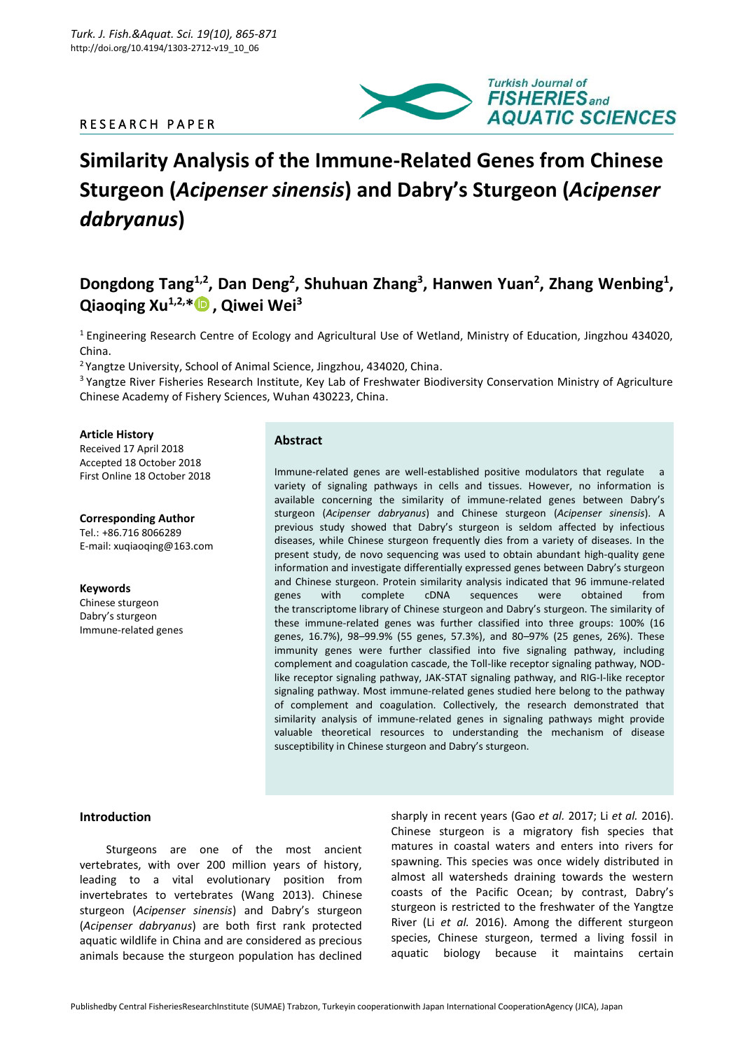# R E S E A R C H P A P E R



# **Similarity Analysis of the Immune-Related Genes from Chinese Sturgeon (***Acipenser sinensis***) and Dabry's Sturgeon (***Acipenser dabryanus***)**

# Dongdong Tang<sup>1,2</sup>, Dan Deng<sup>2</sup>, Shuhuan Zhang<sup>3</sup>, Hanwen Yuan<sup>2</sup>, Zhang Wenbing<sup>1</sup>, **Qiaoqing Xu1,2,[\\*](https://orcid.org/0000-0003-2846-2824) , Qiwei Wei<sup>3</sup>**

<sup>1</sup> Engineering Research Centre of Ecology and Agricultural Use of Wetland, Ministry of Education, Jingzhou 434020, China.

<sup>2</sup> Yangtze University, School of Animal Science, Jingzhou, 434020, China.

<sup>3</sup> Yangtze River Fisheries Research Institute, Key Lab of Freshwater Biodiversity Conservation Ministry of Agriculture Chinese Academy of Fishery Sciences, Wuhan 430223, China.

#### **Article History**

Received 17 April 2018 Accepted 18 October 2018 First Online 18 October 2018

**Corresponding Author** Tel.: +86.716 8066289 E-mail: xuqiaoqing@163.com

**Keywords** Chinese sturgeon Dabry's sturgeon Immune-related genes

## **Abstract**

Immune-related genes are well-established positive modulators that regulate a variety of signaling pathways in cells and tissues. However, no information is available concerning the similarity of immune-related genes between Dabry's sturgeon (*Acipenser dabryanus*) and Chinese sturgeon (*Acipenser sinensis*). A previous study showed that Dabry's sturgeon is seldom affected by infectious diseases, while Chinese sturgeon frequently dies from a variety of diseases. In the present study, de novo sequencing was used to obtain abundant high-quality gene information and investigate differentially expressed genes between Dabry's sturgeon and Chinese sturgeon. Protein similarity analysis indicated that 96 immune-related genes with complete cDNA sequences were obtained from the transcriptome library of Chinese sturgeon and Dabry's sturgeon. The similarity of these immune-related genes was further classified into three groups: 100% (16 genes, 16.7%), 98–99.9% (55 genes, 57.3%), and 80–97% (25 genes, 26%). These immunity genes were further classified into five signaling pathway, including complement and coagulation cascade, the Toll-like receptor signaling pathway, NODlike receptor signaling pathway, JAK-STAT signaling pathway, and RIG-I-like receptor signaling pathway. Most immune-related genes studied here belong to the pathway of complement and coagulation. Collectively, the research demonstrated that similarity analysis of immune-related genes in signaling pathways might provide valuable theoretical resources to understanding the mechanism of disease susceptibility in Chinese sturgeon and Dabry's sturgeon.

#### **Introduction**

Sturgeons are one of the most ancient vertebrates, with over 200 million years of history, leading to a vital evolutionary position from invertebrates to vertebrates (Wang 2013). Chinese sturgeon (*Acipenser sinensis*) and Dabry's sturgeon (*Acipenser dabryanus*) are both first rank protected aquatic wildlife in China and are considered as precious animals because the sturgeon population has declined sharply in recent years (Gao *et al.* 2017; Li *et al.* 2016). Chinese sturgeon is a migratory fish species that matures in coastal waters and enters into rivers for spawning. This species was once widely distributed in almost all watersheds draining towards the western coasts of the Pacific Ocean; by contrast, Dabry's sturgeon is restricted to the freshwater of the Yangtze River (Li *et al.* 2016). Among the different sturgeon species, Chinese sturgeon, termed a living fossil in aquatic biology because it maintains certain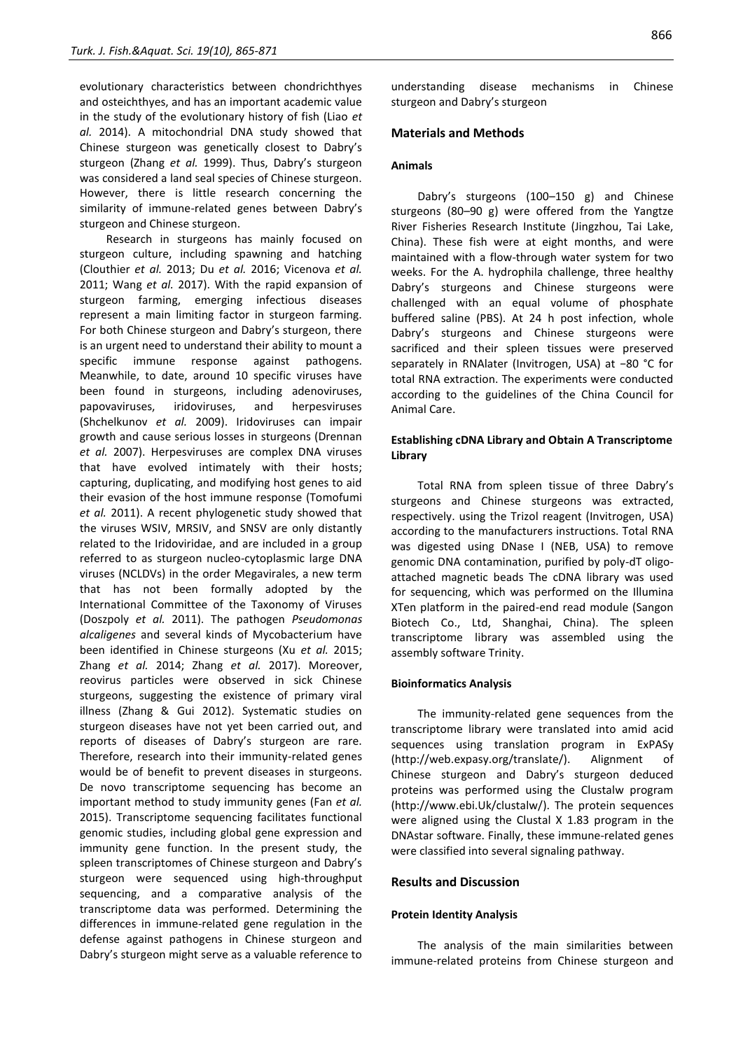evolutionary characteristics between chondrichthyes and osteichthyes, and has an important academic value in the study of the evolutionary history of fish (Liao *et al.* 2014). A mitochondrial DNA study showed that Chinese sturgeon was genetically closest to Dabry's sturgeon (Zhang *et al.* 1999). Thus, Dabry's sturgeon was considered a land seal species of Chinese sturgeon. However, there is little research concerning the similarity of immune-related genes between Dabry's sturgeon and Chinese sturgeon.

Research in sturgeons has mainly focused on sturgeon culture, including spawning and hatching (Clouthier *et al.* 2013; Du *et al.* 2016; Vicenova *et al.* 2011; Wang *et al.* 2017). With the rapid expansion of sturgeon farming, emerging infectious diseases represent a main limiting factor in sturgeon farming. For both Chinese sturgeon and Dabry's sturgeon, there is an urgent need to understand their ability to mount a specific immune response against pathogens. Meanwhile, to date, around 10 specific viruses have been found in sturgeons, including adenoviruses, papovaviruses, iridoviruses, and herpesviruses (Shchelkunov *et al.* 2009). Iridoviruses can impair growth and cause serious losses in sturgeons (Drennan *et al.* 2007). Herpesviruses are complex DNA viruses that have evolved intimately with their hosts; capturing, duplicating, and modifying host genes to aid their evasion of the host immune response (Tomofumi *et al.* 2011). A recent phylogenetic study showed that the viruses WSIV, MRSIV, and SNSV are only distantly related to the Iridoviridae, and are included in a group referred to as sturgeon nucleo-cytoplasmic large DNA viruses (NCLDVs) in the order Megavirales, a new term that has not been formally adopted by the International Committee of the Taxonomy of Viruses (Doszpoly *et al.* 2011). The pathogen *Pseudomonas alcaligenes* and several kinds of Mycobacterium have been identified in Chinese sturgeons (Xu *et al.* 2015; Zhang *et al.* 2014; Zhang *et al.* 2017). Moreover, reovirus particles were observed in sick Chinese sturgeons, suggesting the existence of primary viral illness (Zhang & Gui 2012). Systematic studies on sturgeon diseases have not yet been carried out, and reports of diseases of Dabry's sturgeon are rare. Therefore, research into their immunity-related genes would be of benefit to prevent diseases in sturgeons. De novo transcriptome sequencing has become an important method to study immunity genes (Fan *et al.* 2015). Transcriptome sequencing facilitates functional genomic studies, including global gene expression and immunity gene function. In the present study, the spleen transcriptomes of Chinese sturgeon and Dabry's sturgeon were sequenced using high-throughput sequencing, and a comparative analysis of the transcriptome data was performed. Determining the differences in immune-related gene regulation in the defense against pathogens in Chinese sturgeon and Dabry's sturgeon might serve as a valuable reference to

understanding disease mechanisms in Chinese sturgeon and Dabry's sturgeon

#### **Materials and Methods**

#### **Animals**

Dabry's sturgeons (100–150 g) and Chinese sturgeons (80–90 g) were offered from the Yangtze River Fisheries Research Institute (Jingzhou, Tai Lake, China). These fish were at eight months, and were maintained with a flow-through water system for two weeks. For the A. hydrophila challenge, three healthy Dabry's sturgeons and Chinese sturgeons were challenged with an equal volume of phosphate buffered saline (PBS). At 24 h post infection, whole Dabry's sturgeons and Chinese sturgeons were sacrificed and their spleen tissues were preserved separately in RNAlater (Invitrogen, USA) at −80 °C for total RNA extraction. The experiments were conducted according to the guidelines of the China Council for Animal Care.

## **Establishing cDNA Library and Obtain A Transcriptome Library**

Total RNA from spleen tissue of three Dabry's sturgeons and Chinese sturgeons was extracted, respectively. using the Trizol reagent (Invitrogen, USA) according to the manufacturers instructions. Total RNA was digested using DNase I (NEB, USA) to remove genomic DNA contamination, purified by poly-dT oligoattached magnetic beads The cDNA library was used for sequencing, which was performed on the Illumina XTen platform in the paired-end read module (Sangon Biotech Co., Ltd, Shanghai, China). The spleen transcriptome library was assembled using the assembly software Trinity.

#### **Bioinformatics Analysis**

The immunity-related gene sequences from the transcriptome library were translated into amid acid sequences using translation program in ExPASy (http://web.expasy.org/translate/). Alignment of Chinese sturgeon and Dabry's sturgeon deduced proteins was performed using the Clustalw program [\(http://www.ebi.Uk/clustalw/\)](http://www.ebi.uk/clustalw/). The protein sequences were aligned using the Clustal X 1.83 program in the DNAstar software. Finally, these immune-related genes were classified into several signaling pathway.

# **Results and Discussion**

#### **Protein Identity Analysis**

The analysis of the main similarities between immune-related proteins from Chinese sturgeon and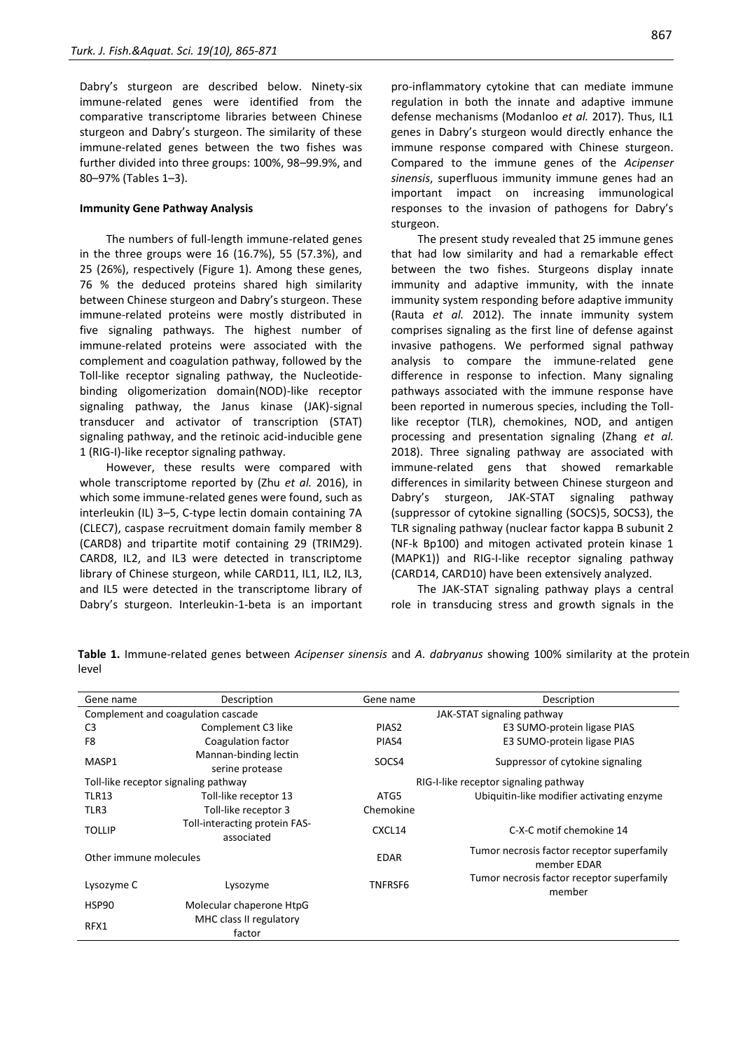Dabry's sturgeon are described below. Ninety-six immune-related genes were identified from the comparative transcriptome libraries between Chinese sturgeon and Dabry's sturgeon. The similarity of these immune-related genes between the two fishes was further divided into three groups: 100%, 98–99.9%, and 80–97% (Tables 1–3).

#### **Immunity Gene Pathway Analysis**

The numbers of full-length immune-related genes in the three groups were 16 (16.7%), 55 (57.3%), and 25 (26%), respectively (Figure 1). Among these genes, 76 % the deduced proteins shared high similarity between Chinese sturgeon and Dabry's sturgeon. These immune-related proteins were mostly distributed in five signaling pathways. The highest number of immune-related proteins were associated with the complement and coagulation pathway, followed by the Toll-like receptor signaling pathway, the Nucleotidebinding oligomerization domain(NOD)-like receptor signaling pathway, the Janus kinase (JAK)-signal transducer and activator of transcription (STAT) signaling pathway, and the retinoic acid-inducible gene 1 (RIG-I)-like receptor signaling pathway.

However, these results were compared with whole transcriptome reported by (Zhu *et al.* 2016), in which some immune-related genes were found, such as interleukin (IL) 3–5, C-type lectin domain containing 7A (CLEC7), caspase recruitment domain family member 8 (CARD8) and tripartite motif containing 29 (TRIM29). CARD8, IL2, and IL3 were detected in transcriptome library of Chinese sturgeon, while CARD11, IL1, IL2, IL3, and IL5 were detected in the transcriptome library of Dabry's sturgeon. Interleukin-1-beta is an important pro-inflammatory cytokine that can mediate immune regulation in both the innate and adaptive immune defense mechanisms (Modanloo *et al.* 2017). Thus, IL1 genes in Dabry's sturgeon would directly enhance the immune response compared with Chinese sturgeon. Compared to the immune genes of the *Acipenser sinensis*, superfluous immunity immune genes had an important impact on increasing immunological responses to the invasion of pathogens for Dabry's sturgeon.

The present study revealed that 25 immune genes that had low similarity and had a remarkable effect between the two fishes. Sturgeons display innate immunity and adaptive immunity, with the innate immunity system responding before adaptive immunity (Rauta *et al.* 2012). The innate immunity system comprises signaling as the first line of defense against invasive pathogens. We performed signal pathway analysis to compare the immune-related gene difference in response to infection. Many signaling pathways associated with the immune response have been reported in numerous species, including the Tolllike receptor (TLR), chemokines, NOD, and antigen processing and presentation signaling (Zhang *et al.* 2018). Three signaling pathway are associated with immune-related gens that showed remarkable differences in similarity between Chinese sturgeon and Dabry's sturgeon, JAK-STAT signaling pathway (suppressor of cytokine signalling (SOCS)5, SOCS3), the TLR signaling pathway (nuclear factor kappa B subunit 2 (NF-k Bp100) and mitogen activated protein kinase 1 (MAPK1)) and RIG-I-like receptor signaling pathway (CARD14, CARD10) have been extensively analyzed.

The JAK-STAT signaling pathway plays a central role in transducing stress and growth signals in the

| Gene name                            | Description                                 | Gene name                             | Description                                               |  |
|--------------------------------------|---------------------------------------------|---------------------------------------|-----------------------------------------------------------|--|
| Complement and coagulation cascade   |                                             | JAK-STAT signaling pathway            |                                                           |  |
| C <sub>3</sub>                       | Complement C3 like                          | PIAS <sub>2</sub>                     | E3 SUMO-protein ligase PIAS                               |  |
| F8                                   | Coagulation factor                          | PIAS4                                 | E3 SUMO-protein ligase PIAS                               |  |
| MASP1                                | Mannan-binding lectin<br>serine protease    | SOCS4                                 | Suppressor of cytokine signaling                          |  |
| Toll-like receptor signaling pathway |                                             | RIG-I-like receptor signaling pathway |                                                           |  |
| <b>TLR13</b>                         | Toll-like receptor 13                       | ATG5                                  | Ubiquitin-like modifier activating enzyme                 |  |
| TLR3                                 | Toll-like receptor 3                        | Chemokine                             |                                                           |  |
| <b>TOLLIP</b>                        | Toll-interacting protein FAS-<br>associated | CXCL14                                | C-X-C motif chemokine 14                                  |  |
| Other immune molecules               |                                             | <b>EDAR</b>                           | Tumor necrosis factor receptor superfamily<br>member EDAR |  |
| Lysozyme C                           | Lysozyme                                    | TNFRSF6                               | Tumor necrosis factor receptor superfamily<br>member      |  |
| HSP90                                | Molecular chaperone HtpG                    |                                       |                                                           |  |
| RFX1                                 | MHC class II regulatory<br>factor           |                                       |                                                           |  |

**Table 1.** Immune-related genes between *Acipenser sinensis* and *A. dabryanus* showing 100% similarity at the protein level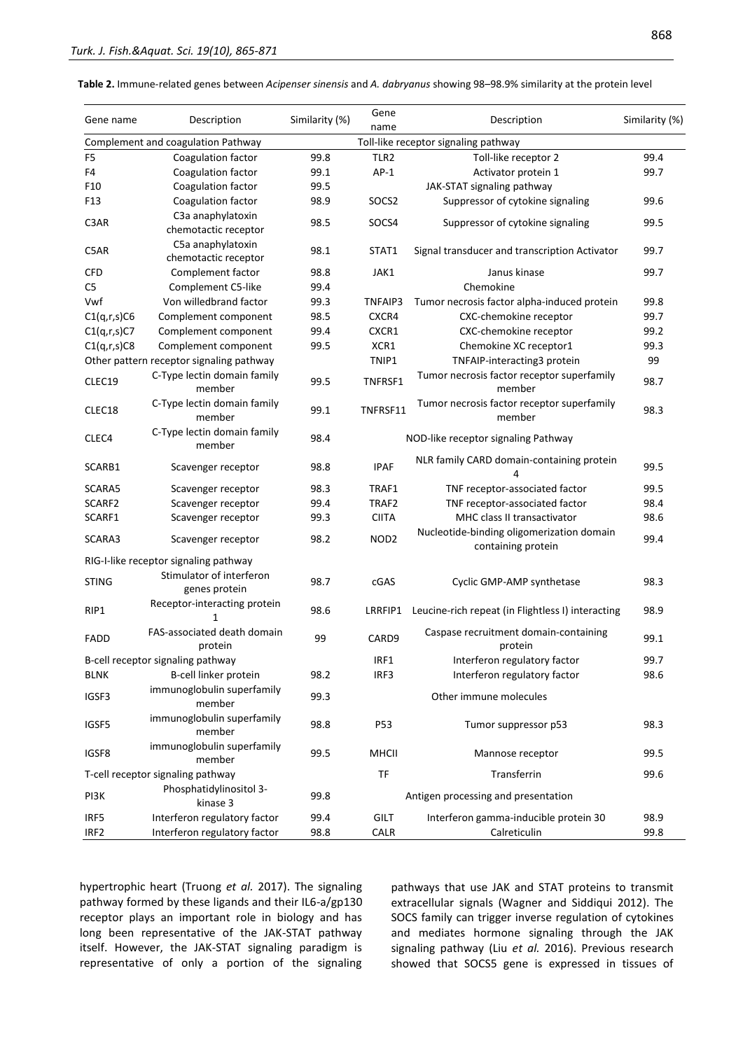| Gene name                         | Description                                 | Similarity (%)                       | Gene<br>name                        | Description                                                     | Similarity (%) |
|-----------------------------------|---------------------------------------------|--------------------------------------|-------------------------------------|-----------------------------------------------------------------|----------------|
|                                   | Complement and coagulation Pathway          | Toll-like receptor signaling pathway |                                     |                                                                 |                |
| F <sub>5</sub>                    | Coagulation factor                          | 99.8                                 | TLR <sub>2</sub>                    | Toll-like receptor 2                                            | 99.4           |
| F4                                | Coagulation factor                          | 99.1                                 | $AP-1$                              | Activator protein 1                                             | 99.7           |
| F10                               | Coagulation factor                          | 99.5                                 |                                     | JAK-STAT signaling pathway                                      |                |
| F <sub>13</sub>                   | Coagulation factor                          | 98.9                                 | SOCS2                               | Suppressor of cytokine signaling                                | 99.6           |
| C3AR                              | C3a anaphylatoxin<br>chemotactic receptor   | 98.5                                 | SOCS4                               | Suppressor of cytokine signaling                                | 99.5           |
| C5AR                              | C5a anaphylatoxin<br>chemotactic receptor   | 98.1                                 | STAT1                               | Signal transducer and transcription Activator                   | 99.7           |
| <b>CFD</b>                        | Complement factor                           | 98.8                                 | JAK1                                | Janus kinase                                                    | 99.7           |
| C5                                | Complement C5-like                          | 99.4                                 |                                     | Chemokine                                                       |                |
| Vwf                               | Von willedbrand factor                      | 99.3                                 | TNFAIP3                             | Tumor necrosis factor alpha-induced protein                     | 99.8           |
| C1(q,r,s)C6                       | Complement component                        | 98.5                                 | CXCR4                               | CXC-chemokine receptor                                          | 99.7           |
| C1(q,r,s)C7                       | Complement component                        | 99.4                                 | CXCR1                               | CXC-chemokine receptor                                          | 99.2           |
| C1(q,r,s)C8                       | Complement component                        | 99.5                                 | XCR1                                | Chemokine XC receptor1                                          | 99.3           |
|                                   | Other pattern receptor signaling pathway    |                                      | TNIP1                               | TNFAIP-interacting3 protein                                     | 99             |
| CLEC19                            | C-Type lectin domain family<br>member       | 99.5                                 | TNFRSF1                             | Tumor necrosis factor receptor superfamily<br>member            | 98.7           |
| CLEC18                            | C-Type lectin domain family<br>member       | 99.1                                 | TNFRSF11                            | Tumor necrosis factor receptor superfamily<br>member            | 98.3           |
| CLEC4                             | C-Type lectin domain family<br>member       | 98.4                                 |                                     | NOD-like receptor signaling Pathway                             |                |
| SCARB1                            | Scavenger receptor                          | 98.8                                 | <b>IPAF</b>                         | NLR family CARD domain-containing protein<br>4                  | 99.5           |
| SCARA5                            | Scavenger receptor                          | 98.3                                 | TRAF1                               | TNF receptor-associated factor                                  | 99.5           |
| SCARF2                            | Scavenger receptor                          | 99.4                                 | TRAF2                               | TNF receptor-associated factor                                  | 98.4           |
| SCARF1                            | Scavenger receptor                          | 99.3                                 | <b>CIITA</b>                        | MHC class II transactivator                                     | 98.6           |
| SCARA3                            | Scavenger receptor                          | 98.2                                 | NOD <sub>2</sub>                    | Nucleotide-binding oligomerization domain<br>containing protein | 99.4           |
|                                   | RIG-I-like receptor signaling pathway       |                                      |                                     |                                                                 |                |
| <b>STING</b>                      | Stimulator of interferon<br>genes protein   | 98.7                                 | cGAS                                | Cyclic GMP-AMP synthetase                                       | 98.3           |
| RIP1                              | Receptor-interacting protein<br>1           | 98.6                                 | LRRFIP1                             | Leucine-rich repeat (in Flightless I) interacting               | 98.9           |
| <b>FADD</b>                       | FAS-associated death domain<br>protein      | 99                                   | CARD9                               | Caspase recruitment domain-containing<br>protein                | 99.1           |
| B-cell receptor signaling pathway |                                             |                                      | IRF1                                | Interferon regulatory factor                                    | 99.7           |
| <b>BLNK</b>                       | B-cell linker protein                       | 98.2                                 | IRF3                                | Interferon regulatory factor                                    | 98.6           |
| IGSF3                             | immunoglobulin superfamily<br>member        | 99.3                                 |                                     | Other immune molecules                                          |                |
| IGSF5                             | immunoglobulin superfamily<br>member        | 98.8                                 | P53                                 | Tumor suppressor p53                                            | 98.3           |
| IGSF8                             | immunoglobulin superfamily<br>member        | 99.5                                 | <b>MHCII</b>                        | Mannose receptor                                                | 99.5           |
| T-cell receptor signaling pathway |                                             |                                      | <b>TF</b>                           | Transferrin                                                     | 99.6           |
| PI3K                              | Phosphatidylinositol 3-<br>99.8<br>kinase 3 |                                      | Antigen processing and presentation |                                                                 |                |
| IRF5                              | Interferon regulatory factor                | 99.4                                 | <b>GILT</b>                         | Interferon gamma-inducible protein 30                           | 98.9           |
| IRF <sub>2</sub>                  | Interferon regulatory factor                | 98.8                                 | <b>CALR</b>                         | Calreticulin                                                    | 99.8           |

hypertrophic heart (Truong *et al.* 2017). The signaling pathway formed by these ligands and their IL6-a/gp130 receptor plays an important role in biology and has long been representative of the JAK-STAT pathway itself. However, the JAK-STAT signaling paradigm is representative of only a portion of the signaling pathways that use JAK and STAT proteins to transmit extracellular signals (Wagner and Siddiqui 2012). The SOCS family can trigger inverse regulation of cytokines and mediates hormone signaling through the JAK signaling pathway (Liu *et al.* 2016). Previous research showed that SOCS5 gene is expressed in tissues of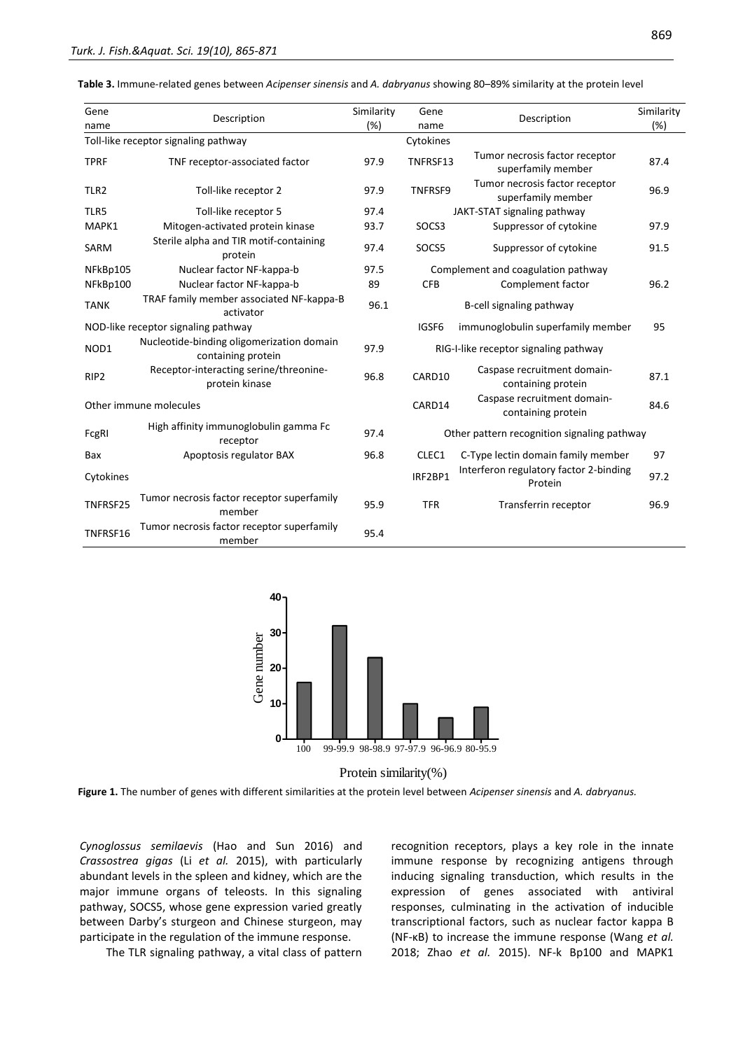**Table 3.** Immune-related genes between *Acipenser sinensis* and *A. dabryanus* showing 80–89% similarity at the protein level

| Gene<br>name                         | Description                                                     | Similarity<br>(%) | Gene<br>name                                | Description                                          | Similarity<br>(%) |
|--------------------------------------|-----------------------------------------------------------------|-------------------|---------------------------------------------|------------------------------------------------------|-------------------|
| Toll-like receptor signaling pathway |                                                                 |                   | Cytokines                                   |                                                      |                   |
| <b>TPRF</b>                          | TNF receptor-associated factor                                  | 97.9              | TNFRSF13                                    | Tumor necrosis factor receptor<br>superfamily member | 87.4              |
| TLR <sub>2</sub>                     | Toll-like receptor 2                                            | 97.9              | TNFRSF9                                     | Tumor necrosis factor receptor<br>superfamily member | 96.9              |
| TLR5                                 | Toll-like receptor 5                                            | 97.4              | JAKT-STAT signaling pathway                 |                                                      |                   |
| MAPK1                                | Mitogen-activated protein kinase                                | 93.7              | SOCS3                                       | Suppressor of cytokine                               | 97.9              |
| <b>SARM</b>                          | Sterile alpha and TIR motif-containing<br>protein               | 97.4              | SOCS5                                       | Suppressor of cytokine                               | 91.5              |
| NFkBp105                             | Nuclear factor NF-kappa-b                                       | 97.5              | Complement and coagulation pathway          |                                                      |                   |
| NFkBp100                             | Nuclear factor NF-kappa-b                                       | 89                | <b>CFB</b>                                  | Complement factor                                    | 96.2              |
| <b>TANK</b>                          | TRAF family member associated NF-kappa-B<br>activator           | 96.1              |                                             | B-cell signaling pathway                             |                   |
| NOD-like receptor signaling pathway  |                                                                 |                   | IGSF6                                       | immunoglobulin superfamily member                    | 95                |
| NOD1                                 | Nucleotide-binding oligomerization domain<br>containing protein |                   |                                             | RIG-I-like receptor signaling pathway                |                   |
| RIP <sub>2</sub>                     | Receptor-interacting serine/threonine-<br>protein kinase        | 96.8              | CARD10                                      | Caspase recruitment domain-<br>containing protein    | 87.1              |
| Other immune molecules               |                                                                 |                   | CARD14                                      | Caspase recruitment domain-<br>containing protein    | 84.6              |
| FcgRI                                | High affinity immunoglobulin gamma Fc<br>receptor               | 97.4              | Other pattern recognition signaling pathway |                                                      |                   |
| Bax                                  | Apoptosis regulator BAX                                         | 96.8              | CLEC1                                       | C-Type lectin domain family member                   | 97                |
| Cytokines                            |                                                                 |                   | IRF2BP1                                     | Interferon regulatory factor 2-binding<br>Protein    | 97.2              |
| TNFRSF25                             | Tumor necrosis factor receptor superfamily<br>member            | 95.9              | <b>TFR</b>                                  | Transferrin receptor                                 | 96.9              |
| TNFRSF16                             | Tumor necrosis factor receptor superfamily<br>member            | 95.4              |                                             |                                                      |                   |



Protein similarity(%)

**Figure 1.** The number of genes with different similarities at the protein level between *Acipenser sinensis* and *A. dabryanus.*

*Cynoglossus semilaevis* (Hao and Sun 2016) and *Crassostrea gigas* (Li *et al.* 2015), with particularly abundant levels in the spleen and kidney, which are the major immune organs of teleosts. In this signaling pathway, SOCS5, whose gene expression varied greatly between Darby's sturgeon and Chinese sturgeon, may participate in the regulation of the immune response.

The TLR signaling pathway, a vital class of pattern

recognition receptors, plays a key role in the innate immune response by recognizing antigens through inducing signaling transduction, which results in the expression of genes associated with antiviral responses, culminating in the activation of inducible transcriptional factors, such as nuclear factor kappa B (NF-κB) to increase the immune response (Wang *et al.* 2018; Zhao *et al.* 2015). NF-k Bp100 and MAPK1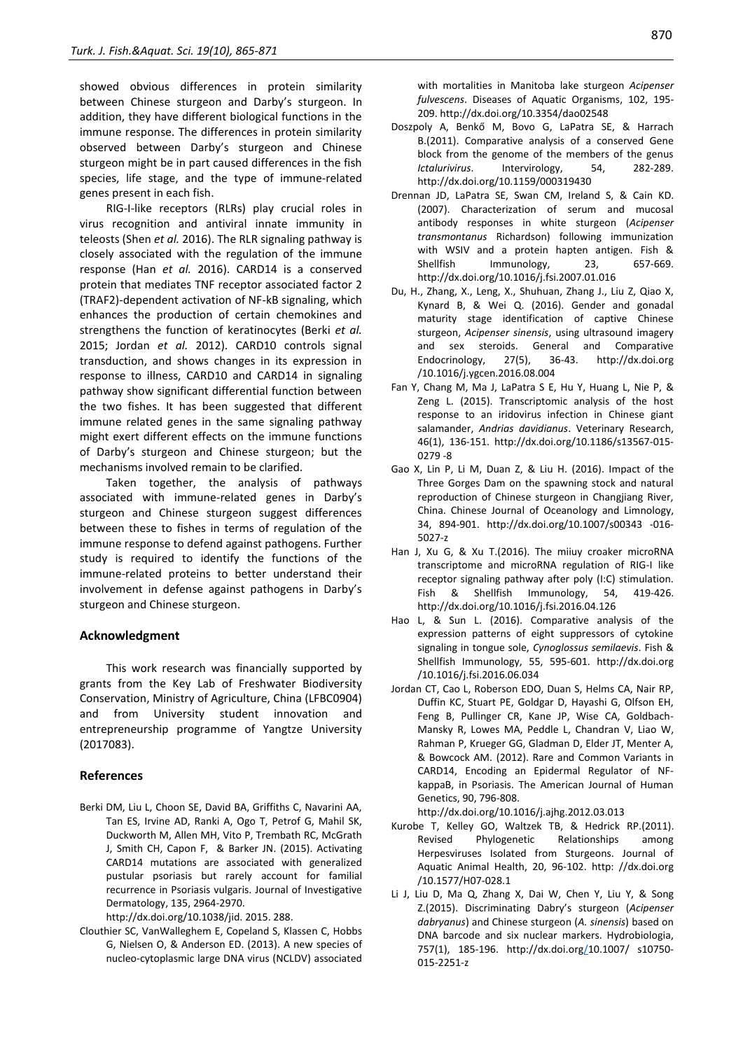showed obvious differences in protein similarity between Chinese sturgeon and Darby's sturgeon. In addition, they have different biological functions in the immune response. The differences in protein similarity observed between Darby's sturgeon and Chinese sturgeon might be in part caused differences in the fish species, life stage, and the type of immune-related genes present in each fish.

RIG-I-like receptors (RLRs) play crucial roles in virus recognition and antiviral innate immunity in teleosts (Shen *et al.* 2016). The RLR signaling pathway is closely associated with the regulation of the immune response (Han *et al.* 2016). CARD14 is a conserved protein that mediates TNF receptor associated factor 2 (TRAF2)-dependent activation of NF-kB signaling, which enhances the production of certain chemokines and strengthens the function of keratinocytes (Berki *et al.* 2015; Jordan *et al.* 2012). CARD10 controls signal transduction, and shows changes in its expression in response to illness, CARD10 and CARD14 in signaling pathway show significant differential function between the two fishes. It has been suggested that different immune related genes in the same signaling pathway might exert different effects on the immune functions of Darby's sturgeon and Chinese sturgeon; but the mechanisms involved remain to be clarified.

Taken together, the analysis of pathways associated with immune-related genes in Darby's sturgeon and Chinese sturgeon suggest differences between these to fishes in terms of regulation of the immune response to defend against pathogens. Further study is required to identify the functions of the immune-related proteins to better understand their involvement in defense against pathogens in Darby's sturgeon and Chinese sturgeon.

#### **Acknowledgment**

This work research was financially supported by grants from the Key Lab of Freshwater Biodiversity Conservation, Ministry of Agriculture, China (LFBC0904) and from University student innovation and entrepreneurship programme of Yangtze University (2017083).

#### **References**

Berki DM, Liu L, Choon SE, David BA, Griffiths C, Navarini AA, Tan ES, Irvine AD, Ranki A, Ogo T, Petrof G, Mahil SK, Duckworth M, Allen MH, Vito P, Trembath RC, McGrath J, Smith CH, Capon F, & Barker JN. (2015). Activating CARD14 mutations are associated with generalized pustular psoriasis but rarely account for familial recurrence in Psoriasis vulgaris. Journal of Investigative Dermatology, 135, 2964-2970.

http://dx.doi.org/10.1038/jid. 2015. 288.

Clouthier SC, VanWalleghem E, Copeland S, Klassen C, Hobbs G, Nielsen O, & Anderson ED. (2013). A new species of nucleo-cytoplasmic large DNA virus (NCLDV) associated

with mortalities in Manitoba lake sturgeon *Acipenser fulvescens*. Diseases of Aquatic Organisms, 102, 195- 209. http://dx.doi.org/10.3354/dao02548

- Doszpoly A, Benkő M, Bovo G, LaPatra SE, & Harrach B.(2011). Comparative analysis of a conserved Gene block from the genome of the members of the genus *Ictalurivirus*. Intervirology, 54, 282-289. http://dx.doi.org/10.1159/000319430
- Drennan JD, LaPatra SE, Swan CM, Ireland S, & Cain KD. (2007). Characterization of serum and mucosal antibody responses in white sturgeon (*Acipenser transmontanus* Richardson) following immunization with WSIV and a protein hapten antigen. Fish & Shellfish Immunology, 23, 657-669. http://dx.doi.org/10.1016/j.fsi.2007.01.016
- Du, H., Zhang, X., Leng, X., Shuhuan, Zhang J., Liu Z, Qiao X, Kynard B, & Wei Q. (2016). Gender and gonadal maturity stage identification of captive Chinese sturgeon, *Acipenser sinensis*, using ultrasound imagery and sex steroids. General and Comparative Endocrinology, 27(5), 36-43. http://dx.doi.org /10.1016/j.ygcen.2016.08.004
- Fan Y, Chang M, Ma J, LaPatra S E, Hu Y, Huang L, Nie P, & Zeng L. (2015). Transcriptomic analysis of the host response to an iridovirus infection in Chinese giant salamander, *Andrias davidianus*. Veterinary Research, 46(1), 136-151. http://dx.doi.org/10.1186/s13567-015- 0279 -8
- Gao X, Lin P, Li M, Duan Z, & Liu H. (2016). Impact of the Three Gorges Dam on the spawning stock and natural reproduction of Chinese sturgeon in Changjiang River, China. Chinese Journal of Oceanology and Limnology, 34, 894-901. http://dx.doi.org/10.1007/s00343 -016- 5027-z
- Han J, Xu G, & Xu T.(2016). The miiuy croaker microRNA transcriptome and microRNA regulation of RIG-I like receptor signaling pathway after poly (I:C) stimulation. Fish & Shellfish Immunology, 54, 419-426. http://dx.doi.org/10.1016/j.fsi.2016.04.126
- Hao L, & Sun L. (2016). Comparative analysis of the expression patterns of eight suppressors of cytokine signaling in tongue sole, *Cynoglossus semilaevis*. Fish & Shellfish Immunology, 55, 595-601. http://dx.doi.org /10.1016/j.fsi.2016.06.034
- Jordan CT, Cao L, Roberson EDO, Duan S, Helms CA, Nair RP, Duffin KC, Stuart PE, Goldgar D, Hayashi G, Olfson EH, Feng B, Pullinger CR, Kane JP, Wise CA, Goldbach-Mansky R, Lowes MA, Peddle L, Chandran V, Liao W, Rahman P, Krueger GG, Gladman D, Elder JT, Menter A, & Bowcock AM. (2012). Rare and Common Variants in CARD14, Encoding an Epidermal Regulator of NFkappaB, in Psoriasis. The American Journal of Human Genetics, 90, 796-808.
	- http://dx.doi.org/10.1016/j.ajhg.2012.03.013
- Kurobe T, Kelley GO, Waltzek TB, & Hedrick RP.(2011). Revised Phylogenetic Relationships among Herpesviruses Isolated from Sturgeons. Journal of Aquatic Animal Health, 20, 96-102. http: //dx.doi.org /10.1577/H07-028.1
- Li J, Liu D, Ma Q, Zhang X, Dai W, Chen Y, Liu Y, & Song Z.(2015). Discriminating Dabry's sturgeon (*Acipenser dabryanus*) and Chinese sturgeon (*A. sinensis*) based on DNA barcode and six nuclear markers. Hydrobiologia, 757(1), 185-196. [http://dx.doi.org/1](http://dx.doi.org/)0.1007/ s10750- 015-2251-z